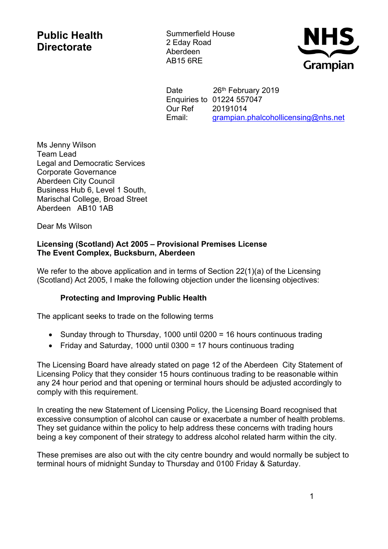## **Public Health Directorate**

Summerfield House 2 Eday Road Aberdeen AB15 6RE



Date 26<sup>th</sup> February 2019 Enquiries to 01224 557047 Our Ref 20191014 Email: [grampian.phalcohollicensing@nhs.net](https://nhsmail1.nhs.net/owa/redir.aspx?SURL=F0-9RO9LBMG1xHU0THPwUNA1L0mS_lqkvh_TZiLIxOsEbXaT8I7TCG0AYQBpAGwAdABvADoAZwByAGEAbQBwAGkAYQBuAC4AcABoAGEAbABjAG8AaABvAGwAbABpAGMAZQBuAHMAaQBuAGcAQABuAGgAcwAuAG4AZQB0AA..&URL=mailto%3agrampian.phalcohollicensing%40nhs.net)

Ms Jenny Wilson Team Lead Legal and Democratic Services Corporate Governance Aberdeen City Council Business Hub 6, Level 1 South, Marischal College, Broad Street Aberdeen AB10 1AB

Dear Ms Wilson

## **Licensing (Scotland) Act 2005 – Provisional Premises License The Event Complex, Bucksburn, Aberdeen**

We refer to the above application and in terms of Section 22(1)(a) of the Licensing (Scotland) Act 2005, I make the following objection under the licensing objectives:

## **Protecting and Improving Public Health**

The applicant seeks to trade on the following terms

- Sunday through to Thursday, 1000 until 0200 = 16 hours continuous trading
- Friday and Saturday, 1000 until 0300 = 17 hours continuous trading

The Licensing Board have already stated on page 12 of the Aberdeen City Statement of Licensing Policy that they consider 15 hours continuous trading to be reasonable within any 24 hour period and that opening or terminal hours should be adjusted accordingly to comply with this requirement.

In creating the new Statement of Licensing Policy, the Licensing Board recognised that excessive consumption of alcohol can cause or exacerbate a number of health problems. They set guidance within the policy to help address these concerns with trading hours being a key component of their strategy to address alcohol related harm within the city.

These premises are also out with the city centre boundry and would normally be subject to terminal hours of midnight Sunday to Thursday and 0100 Friday & Saturday.